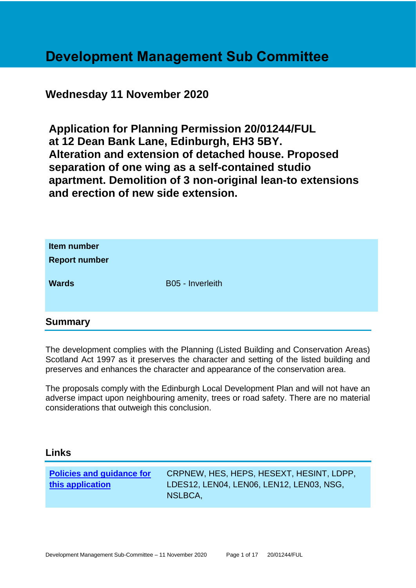# **Development Management Sub Committee**

# **Wednesday 11 November 2020**

**Application for Planning Permission 20/01244/FUL at 12 Dean Bank Lane, Edinburgh, EH3 5BY. Alteration and extension of detached house. Proposed separation of one wing as a self-contained studio apartment. Demolition of 3 non-original lean-to extensions and erection of new side extension.**

| Item number<br><b>Report number</b> |                  |
|-------------------------------------|------------------|
| <b>Wards</b>                        | B05 - Inverleith |
| $\bullet$                           |                  |

# **Summary**

The development complies with the Planning (Listed Building and Conservation Areas) Scotland Act 1997 as it preserves the character and setting of the listed building and preserves and enhances the character and appearance of the conservation area.

The proposals comply with the Edinburgh Local Development Plan and will not have an adverse impact upon neighbouring amenity, trees or road safety. There are no material considerations that outweigh this conclusion.

# **Links**

| <b>Policies and guidance for</b> | CRPNEW, HES, HEPS, HESEXT, HESINT, LDPP, |
|----------------------------------|------------------------------------------|
| this application                 | LDES12, LEN04, LEN06, LEN12, LEN03, NSG, |
|                                  | NSLBCA,                                  |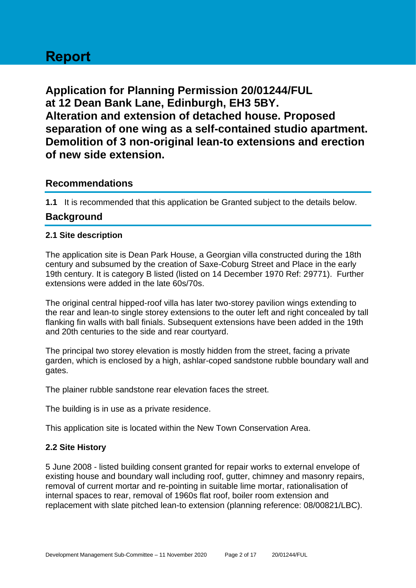# **Report**

**Application for Planning Permission 20/01244/FUL at 12 Dean Bank Lane, Edinburgh, EH3 5BY. Alteration and extension of detached house. Proposed separation of one wing as a self-contained studio apartment. Demolition of 3 non-original lean-to extensions and erection of new side extension.**

# **Recommendations**

**1.1** It is recommended that this application be Granted subject to the details below.

# **Background**

# **2.1 Site description**

The application site is Dean Park House, a Georgian villa constructed during the 18th century and subsumed by the creation of Saxe-Coburg Street and Place in the early 19th century. It is category B listed (listed on 14 December 1970 Ref: 29771). Further extensions were added in the late 60s/70s.

The original central hipped-roof villa has later two-storey pavilion wings extending to the rear and lean-to single storey extensions to the outer left and right concealed by tall flanking fin walls with ball finials. Subsequent extensions have been added in the 19th and 20th centuries to the side and rear courtyard.

The principal two storey elevation is mostly hidden from the street, facing a private garden, which is enclosed by a high, ashlar-coped sandstone rubble boundary wall and gates.

The plainer rubble sandstone rear elevation faces the street.

The building is in use as a private residence.

This application site is located within the New Town Conservation Area.

## **2.2 Site History**

5 June 2008 - listed building consent granted for repair works to external envelope of existing house and boundary wall including roof, gutter, chimney and masonry repairs, removal of current mortar and re-pointing in suitable lime mortar, rationalisation of internal spaces to rear, removal of 1960s flat roof, boiler room extension and replacement with slate pitched lean-to extension (planning reference: 08/00821/LBC).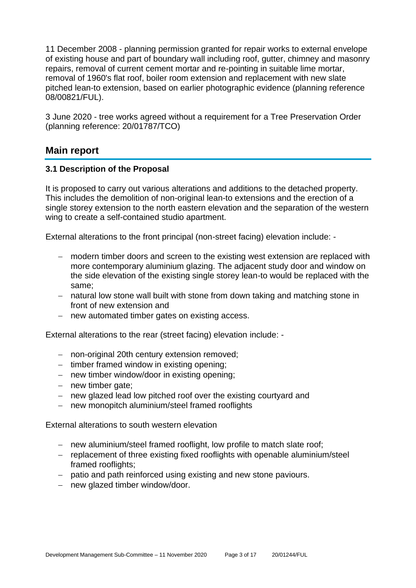11 December 2008 - planning permission granted for repair works to external envelope of existing house and part of boundary wall including roof, gutter, chimney and masonry repairs, removal of current cement mortar and re-pointing in suitable lime mortar, removal of 1960's flat roof, boiler room extension and replacement with new slate pitched lean-to extension, based on earlier photographic evidence (planning reference 08/00821/FUL).

3 June 2020 - tree works agreed without a requirement for a Tree Preservation Order (planning reference: 20/01787/TCO)

# **Main report**

## **3.1 Description of the Proposal**

It is proposed to carry out various alterations and additions to the detached property. This includes the demolition of non-original lean-to extensions and the erection of a single storey extension to the north eastern elevation and the separation of the western wing to create a self-contained studio apartment.

External alterations to the front principal (non-street facing) elevation include: -

- − modern timber doors and screen to the existing west extension are replaced with more contemporary aluminium glazing. The adjacent study door and window on the side elevation of the existing single storey lean-to would be replaced with the same;
- − natural low stone wall built with stone from down taking and matching stone in front of new extension and
- − new automated timber gates on existing access.

External alterations to the rear (street facing) elevation include: -

- − non-original 20th century extension removed;
- − timber framed window in existing opening;
- − new timber window/door in existing opening;
- − new timber gate;
- − new glazed lead low pitched roof over the existing courtyard and
- − new monopitch aluminium/steel framed rooflights

External alterations to south western elevation

- − new aluminium/steel framed rooflight, low profile to match slate roof;
- − replacement of three existing fixed rooflights with openable aluminium/steel framed rooflights;
- − patio and path reinforced using existing and new stone paviours.
- − new glazed timber window/door.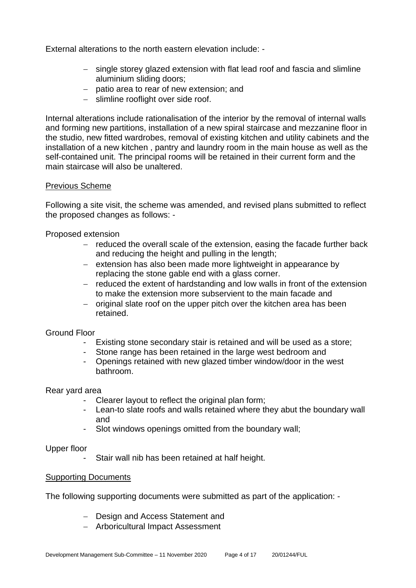External alterations to the north eastern elevation include: -

- − single storey glazed extension with flat lead roof and fascia and slimline aluminium sliding doors;
- − patio area to rear of new extension; and
- − slimline rooflight over side roof.

Internal alterations include rationalisation of the interior by the removal of internal walls and forming new partitions, installation of a new spiral staircase and mezzanine floor in the studio, new fitted wardrobes, removal of existing kitchen and utility cabinets and the installation of a new kitchen , pantry and laundry room in the main house as well as the self-contained unit. The principal rooms will be retained in their current form and the main staircase will also be unaltered.

## Previous Scheme

Following a site visit, the scheme was amended, and revised plans submitted to reflect the proposed changes as follows: -

Proposed extension

- − reduced the overall scale of the extension, easing the facade further back and reducing the height and pulling in the length;
- − extension has also been made more lightweight in appearance by replacing the stone gable end with a glass corner.
- − reduced the extent of hardstanding and low walls in front of the extension to make the extension more subservient to the main facade and
- − original slate roof on the upper pitch over the kitchen area has been retained.

#### Ground Floor

- Existing stone secondary stair is retained and will be used as a store;
- Stone range has been retained in the large west bedroom and
- Openings retained with new glazed timber window/door in the west bathroom.

Rear yard area

- Clearer layout to reflect the original plan form;
- Lean-to slate roofs and walls retained where they abut the boundary wall and
- Slot windows openings omitted from the boundary wall;

Upper floor

Stair wall nib has been retained at half height.

#### Supporting Documents

The following supporting documents were submitted as part of the application: -

- − Design and Access Statement and
- − Arboricultural Impact Assessment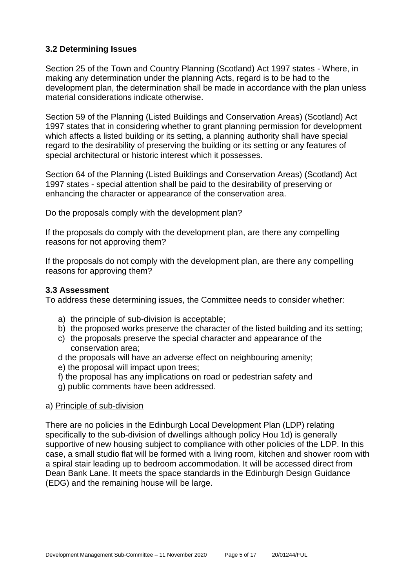# **3.2 Determining Issues**

Section 25 of the Town and Country Planning (Scotland) Act 1997 states - Where, in making any determination under the planning Acts, regard is to be had to the development plan, the determination shall be made in accordance with the plan unless material considerations indicate otherwise.

Section 59 of the Planning (Listed Buildings and Conservation Areas) (Scotland) Act 1997 states that in considering whether to grant planning permission for development which affects a listed building or its setting, a planning authority shall have special regard to the desirability of preserving the building or its setting or any features of special architectural or historic interest which it possesses.

Section 64 of the Planning (Listed Buildings and Conservation Areas) (Scotland) Act 1997 states - special attention shall be paid to the desirability of preserving or enhancing the character or appearance of the conservation area.

Do the proposals comply with the development plan?

If the proposals do comply with the development plan, are there any compelling reasons for not approving them?

If the proposals do not comply with the development plan, are there any compelling reasons for approving them?

#### **3.3 Assessment**

To address these determining issues, the Committee needs to consider whether:

- a) the principle of sub-division is acceptable;
- b) the proposed works preserve the character of the listed building and its setting;
- c) the proposals preserve the special character and appearance of the conservation area;
- d the proposals will have an adverse effect on neighbouring amenity;
- e) the proposal will impact upon trees;
- f) the proposal has any implications on road or pedestrian safety and
- g) public comments have been addressed.

#### a) Principle of sub-division

There are no policies in the Edinburgh Local Development Plan (LDP) relating specifically to the sub-division of dwellings although policy Hou 1d) is generally supportive of new housing subject to compliance with other policies of the LDP. In this case, a small studio flat will be formed with a living room, kitchen and shower room with a spiral stair leading up to bedroom accommodation. It will be accessed direct from Dean Bank Lane. It meets the space standards in the Edinburgh Design Guidance (EDG) and the remaining house will be large.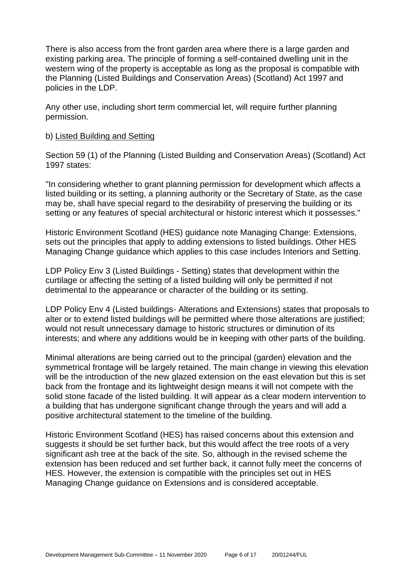There is also access from the front garden area where there is a large garden and existing parking area. The principle of forming a self-contained dwelling unit in the western wing of the property is acceptable as long as the proposal is compatible with the Planning (Listed Buildings and Conservation Areas) (Scotland) Act 1997 and policies in the LDP.

Any other use, including short term commercial let, will require further planning permission.

#### b) Listed Building and Setting

Section 59 (1) of the Planning (Listed Building and Conservation Areas) (Scotland) Act 1997 states:

"In considering whether to grant planning permission for development which affects a listed building or its setting, a planning authority or the Secretary of State, as the case may be, shall have special regard to the desirability of preserving the building or its setting or any features of special architectural or historic interest which it possesses."

Historic Environment Scotland (HES) guidance note Managing Change: Extensions, sets out the principles that apply to adding extensions to listed buildings. Other HES Managing Change guidance which applies to this case includes Interiors and Setting.

LDP Policy Env 3 (Listed Buildings - Setting) states that development within the curtilage or affecting the setting of a listed building will only be permitted if not detrimental to the appearance or character of the building or its setting.

LDP Policy Env 4 (Listed buildings- Alterations and Extensions) states that proposals to alter or to extend listed buildings will be permitted where those alterations are justified; would not result unnecessary damage to historic structures or diminution of its interests; and where any additions would be in keeping with other parts of the building.

Minimal alterations are being carried out to the principal (garden) elevation and the symmetrical frontage will be largely retained. The main change in viewing this elevation will be the introduction of the new glazed extension on the east elevation but this is set back from the frontage and its lightweight design means it will not compete with the solid stone facade of the listed building. It will appear as a clear modern intervention to a building that has undergone significant change through the years and will add a positive architectural statement to the timeline of the building.

Historic Environment Scotland (HES) has raised concerns about this extension and suggests it should be set further back, but this would affect the tree roots of a very significant ash tree at the back of the site. So, although in the revised scheme the extension has been reduced and set further back, it cannot fully meet the concerns of HES. However, the extension is compatible with the principles set out in HES Managing Change guidance on Extensions and is considered acceptable.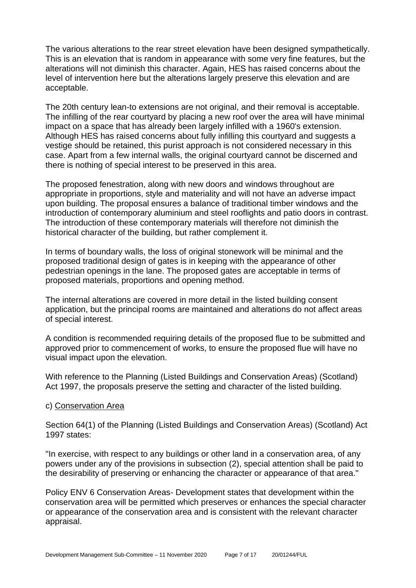The various alterations to the rear street elevation have been designed sympathetically. This is an elevation that is random in appearance with some very fine features, but the alterations will not diminish this character. Again, HES has raised concerns about the level of intervention here but the alterations largely preserve this elevation and are acceptable.

The 20th century lean-to extensions are not original, and their removal is acceptable. The infilling of the rear courtyard by placing a new roof over the area will have minimal impact on a space that has already been largely infilled with a 1960's extension. Although HES has raised concerns about fully infilling this courtyard and suggests a vestige should be retained, this purist approach is not considered necessary in this case. Apart from a few internal walls, the original courtyard cannot be discerned and there is nothing of special interest to be preserved in this area.

The proposed fenestration, along with new doors and windows throughout are appropriate in proportions, style and materiality and will not have an adverse impact upon building. The proposal ensures a balance of traditional timber windows and the introduction of contemporary aluminium and steel rooflights and patio doors in contrast. The introduction of these contemporary materials will therefore not diminish the historical character of the building, but rather complement it.

In terms of boundary walls, the loss of original stonework will be minimal and the proposed traditional design of gates is in keeping with the appearance of other pedestrian openings in the lane. The proposed gates are acceptable in terms of proposed materials, proportions and opening method.

The internal alterations are covered in more detail in the listed building consent application, but the principal rooms are maintained and alterations do not affect areas of special interest.

A condition is recommended requiring details of the proposed flue to be submitted and approved prior to commencement of works, to ensure the proposed flue will have no visual impact upon the elevation.

With reference to the Planning (Listed Buildings and Conservation Areas) (Scotland) Act 1997, the proposals preserve the setting and character of the listed building.

#### c) Conservation Area

Section 64(1) of the Planning (Listed Buildings and Conservation Areas) (Scotland) Act 1997 states:

"In exercise, with respect to any buildings or other land in a conservation area, of any powers under any of the provisions in subsection (2), special attention shall be paid to the desirability of preserving or enhancing the character or appearance of that area."

Policy ENV 6 Conservation Areas- Development states that development within the conservation area will be permitted which preserves or enhances the special character or appearance of the conservation area and is consistent with the relevant character appraisal.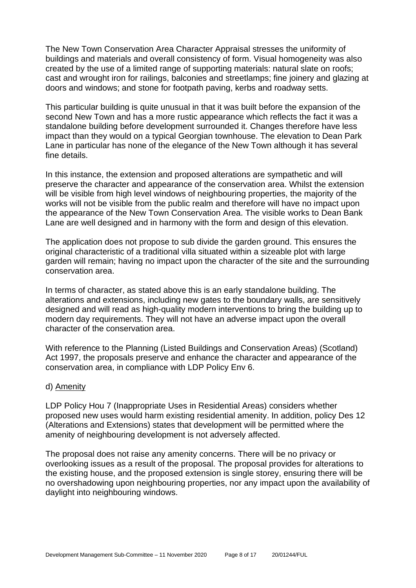The New Town Conservation Area Character Appraisal stresses the uniformity of buildings and materials and overall consistency of form. Visual homogeneity was also created by the use of a limited range of supporting materials: natural slate on roofs; cast and wrought iron for railings, balconies and streetlamps; fine joinery and glazing at doors and windows; and stone for footpath paving, kerbs and roadway setts.

This particular building is quite unusual in that it was built before the expansion of the second New Town and has a more rustic appearance which reflects the fact it was a standalone building before development surrounded it. Changes therefore have less impact than they would on a typical Georgian townhouse. The elevation to Dean Park Lane in particular has none of the elegance of the New Town although it has several fine details.

In this instance, the extension and proposed alterations are sympathetic and will preserve the character and appearance of the conservation area. Whilst the extension will be visible from high level windows of neighbouring properties, the majority of the works will not be visible from the public realm and therefore will have no impact upon the appearance of the New Town Conservation Area. The visible works to Dean Bank Lane are well designed and in harmony with the form and design of this elevation.

The application does not propose to sub divide the garden ground. This ensures the original characteristic of a traditional villa situated within a sizeable plot with large garden will remain; having no impact upon the character of the site and the surrounding conservation area.

In terms of character, as stated above this is an early standalone building. The alterations and extensions, including new gates to the boundary walls, are sensitively designed and will read as high-quality modern interventions to bring the building up to modern day requirements. They will not have an adverse impact upon the overall character of the conservation area.

With reference to the Planning (Listed Buildings and Conservation Areas) (Scotland) Act 1997, the proposals preserve and enhance the character and appearance of the conservation area, in compliance with LDP Policy Env 6.

#### d) Amenity

LDP Policy Hou 7 (Inappropriate Uses in Residential Areas) considers whether proposed new uses would harm existing residential amenity. In addition, policy Des 12 (Alterations and Extensions) states that development will be permitted where the amenity of neighbouring development is not adversely affected.

The proposal does not raise any amenity concerns. There will be no privacy or overlooking issues as a result of the proposal. The proposal provides for alterations to the existing house, and the proposed extension is single storey, ensuring there will be no overshadowing upon neighbouring properties, nor any impact upon the availability of daylight into neighbouring windows.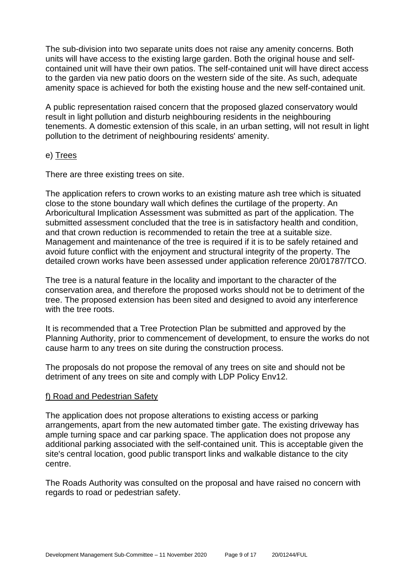The sub-division into two separate units does not raise any amenity concerns. Both units will have access to the existing large garden. Both the original house and selfcontained unit will have their own patios. The self-contained unit will have direct access to the garden via new patio doors on the western side of the site. As such, adequate amenity space is achieved for both the existing house and the new self-contained unit.

A public representation raised concern that the proposed glazed conservatory would result in light pollution and disturb neighbouring residents in the neighbouring tenements. A domestic extension of this scale, in an urban setting, will not result in light pollution to the detriment of neighbouring residents' amenity.

#### e) Trees

There are three existing trees on site.

The application refers to crown works to an existing mature ash tree which is situated close to the stone boundary wall which defines the curtilage of the property. An Arboricultural Implication Assessment was submitted as part of the application. The submitted assessment concluded that the tree is in satisfactory health and condition, and that crown reduction is recommended to retain the tree at a suitable size. Management and maintenance of the tree is required if it is to be safely retained and avoid future conflict with the enjoyment and structural integrity of the property. The detailed crown works have been assessed under application reference 20/01787/TCO.

The tree is a natural feature in the locality and important to the character of the conservation area, and therefore the proposed works should not be to detriment of the tree. The proposed extension has been sited and designed to avoid any interference with the tree roots.

It is recommended that a Tree Protection Plan be submitted and approved by the Planning Authority, prior to commencement of development, to ensure the works do not cause harm to any trees on site during the construction process.

The proposals do not propose the removal of any trees on site and should not be detriment of any trees on site and comply with LDP Policy Env12.

## f) Road and Pedestrian Safety

The application does not propose alterations to existing access or parking arrangements, apart from the new automated timber gate. The existing driveway has ample turning space and car parking space. The application does not propose any additional parking associated with the self-contained unit. This is acceptable given the site's central location, good public transport links and walkable distance to the city centre.

The Roads Authority was consulted on the proposal and have raised no concern with regards to road or pedestrian safety.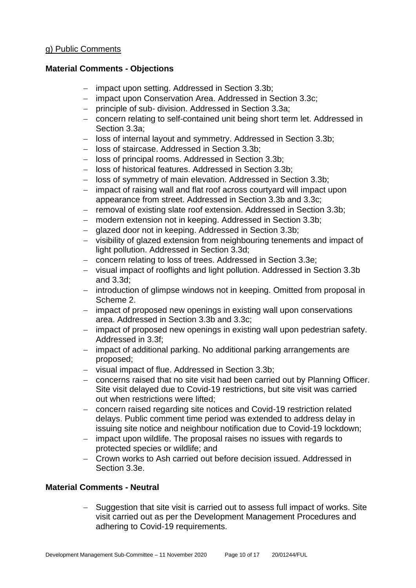# **Material Comments - Objections**

- − impact upon setting. Addressed in Section 3.3b;
- − impact upon Conservation Area. Addressed in Section 3.3c;
- − principle of sub- division. Addressed in Section 3.3a;
- − concern relating to self-contained unit being short term let. Addressed in Section 3.3a;
- − loss of internal layout and symmetry. Addressed in Section 3.3b;
- − loss of staircase. Addressed in Section 3.3b;
- − loss of principal rooms. Addressed in Section 3.3b;
- − loss of historical features. Addressed in Section 3.3b;
- − loss of symmetry of main elevation. Addressed in Section 3.3b;
- − impact of raising wall and flat roof across courtyard will impact upon appearance from street. Addressed in Section 3.3b and 3.3c;
- − removal of existing slate roof extension. Addressed in Section 3.3b;
- − modern extension not in keeping. Addressed in Section 3.3b;
- − glazed door not in keeping. Addressed in Section 3.3b;
- − visibility of glazed extension from neighbouring tenements and impact of light pollution. Addressed in Section 3.3d;
- − concern relating to loss of trees. Addressed in Section 3.3e;
- − visual impact of rooflights and light pollution. Addressed in Section 3.3b and  $3.3d<sub>1</sub>$
- − introduction of glimpse windows not in keeping. Omitted from proposal in Scheme 2.
- − impact of proposed new openings in existing wall upon conservations area. Addressed in Section 3.3b and 3.3c;
- − impact of proposed new openings in existing wall upon pedestrian safety. Addressed in 3.3f;
- − impact of additional parking. No additional parking arrangements are proposed;
- − visual impact of flue. Addressed in Section 3.3b;
- − concerns raised that no site visit had been carried out by Planning Officer. Site visit delayed due to Covid-19 restrictions, but site visit was carried out when restrictions were lifted;
- − concern raised regarding site notices and Covid-19 restriction related delays. Public comment time period was extended to address delay in issuing site notice and neighbour notification due to Covid-19 lockdown;
- − impact upon wildlife. The proposal raises no issues with regards to protected species or wildlife; and
- − Crown works to Ash carried out before decision issued. Addressed in Section 3.3e.

# **Material Comments - Neutral**

Suggestion that site visit is carried out to assess full impact of works. Site visit carried out as per the Development Management Procedures and adhering to Covid-19 requirements.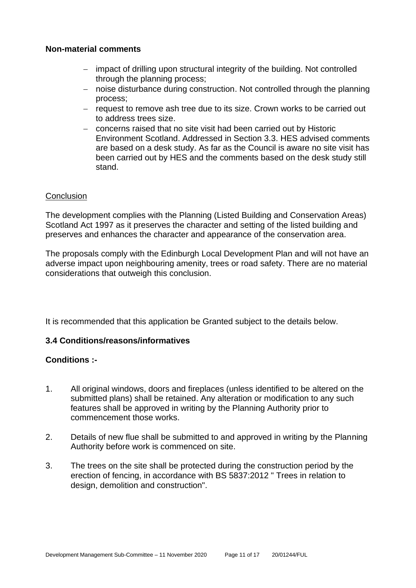# **Non-material comments**

- − impact of drilling upon structural integrity of the building. Not controlled through the planning process;
- − noise disturbance during construction. Not controlled through the planning process;
- − request to remove ash tree due to its size. Crown works to be carried out to address trees size.
- − concerns raised that no site visit had been carried out by Historic Environment Scotland. Addressed in Section 3.3. HES advised comments are based on a desk study. As far as the Council is aware no site visit has been carried out by HES and the comments based on the desk study still stand.

## **Conclusion**

The development complies with the Planning (Listed Building and Conservation Areas) Scotland Act 1997 as it preserves the character and setting of the listed building and preserves and enhances the character and appearance of the conservation area.

The proposals comply with the Edinburgh Local Development Plan and will not have an adverse impact upon neighbouring amenity, trees or road safety. There are no material considerations that outweigh this conclusion.

It is recommended that this application be Granted subject to the details below.

# **3.4 Conditions/reasons/informatives**

# **Conditions :-**

- 1. All original windows, doors and fireplaces (unless identified to be altered on the submitted plans) shall be retained. Any alteration or modification to any such features shall be approved in writing by the Planning Authority prior to commencement those works.
- 2. Details of new flue shall be submitted to and approved in writing by the Planning Authority before work is commenced on site.
- 3. The trees on the site shall be protected during the construction period by the erection of fencing, in accordance with BS 5837:2012 " Trees in relation to design, demolition and construction".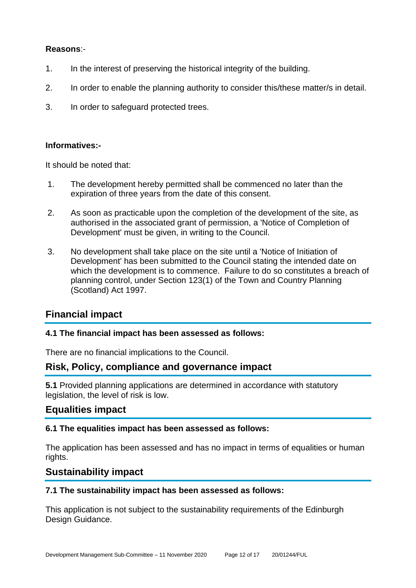# **Reasons**:-

- 1. In the interest of preserving the historical integrity of the building.
- 2. In order to enable the planning authority to consider this/these matter/s in detail.
- 3. In order to safeguard protected trees.

#### **Informatives:-**

It should be noted that:

- 1. The development hereby permitted shall be commenced no later than the expiration of three years from the date of this consent.
- 2. As soon as practicable upon the completion of the development of the site, as authorised in the associated grant of permission, a 'Notice of Completion of Development' must be given, in writing to the Council.
- 3. No development shall take place on the site until a 'Notice of Initiation of Development' has been submitted to the Council stating the intended date on which the development is to commence. Failure to do so constitutes a breach of planning control, under Section 123(1) of the Town and Country Planning (Scotland) Act 1997.

# **Financial impact**

## **4.1 The financial impact has been assessed as follows:**

There are no financial implications to the Council.

# **Risk, Policy, compliance and governance impact**

**5.1** Provided planning applications are determined in accordance with statutory legislation, the level of risk is low.

# **Equalities impact**

## **6.1 The equalities impact has been assessed as follows:**

The application has been assessed and has no impact in terms of equalities or human rights.

# **Sustainability impact**

## **7.1 The sustainability impact has been assessed as follows:**

This application is not subject to the sustainability requirements of the Edinburgh Design Guidance.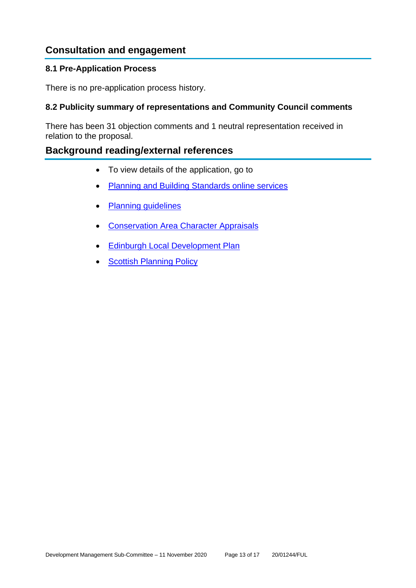# **Consultation and engagement**

# **8.1 Pre-Application Process**

There is no pre-application process history.

# **8.2 Publicity summary of representations and Community Council comments**

There has been 31 objection comments and 1 neutral representation received in relation to the proposal.

# **Background reading/external references**

- To view details of the application, go to
- [Planning and Building Standards online services](https://citydev-portal.edinburgh.gov.uk/idoxpa-web/search.do?action=simple&searchType=Application)
- [Planning guidelines](http://www.edinburgh.gov.uk/planningguidelines)
- Conservation [Area Character Appraisals](http://www.edinburgh.gov.uk/characterappraisals)
- **[Edinburgh Local Development Plan](http://www.edinburgh.gov.uk/localdevelopmentplan)**
- **[Scottish Planning Policy](http://www.scotland.gov.uk/Topics/Built-Environment/planning/Policy)**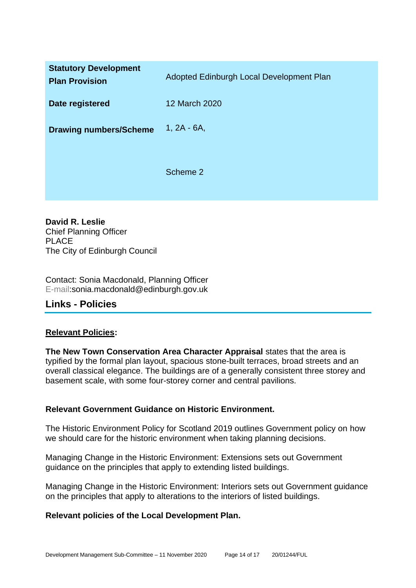| <b>Statutory Development</b><br><b>Plan Provision</b> | Adopted Edinburgh Local Development Plan |
|-------------------------------------------------------|------------------------------------------|
| Date registered                                       | 12 March 2020                            |
| <b>Drawing numbers/Scheme</b>                         | $1, 2A - 6A,$                            |
|                                                       | Scheme 2                                 |

**David R. Leslie** Chief Planning Officer PLACE The City of Edinburgh Council

Contact: Sonia Macdonald, Planning Officer E-mail:sonia.macdonald@edinburgh.gov.uk

# **Links - Policies**

## **Relevant Policies:**

**The New Town Conservation Area Character Appraisal** states that the area is typified by the formal plan layout, spacious stone-built terraces, broad streets and an overall classical elegance. The buildings are of a generally consistent three storey and basement scale, with some four-storey corner and central pavilions.

## **Relevant Government Guidance on Historic Environment.**

The Historic Environment Policy for Scotland 2019 outlines Government policy on how we should care for the historic environment when taking planning decisions.

Managing Change in the Historic Environment: Extensions sets out Government guidance on the principles that apply to extending listed buildings.

Managing Change in the Historic Environment: Interiors sets out Government guidance on the principles that apply to alterations to the interiors of listed buildings.

## **Relevant policies of the Local Development Plan.**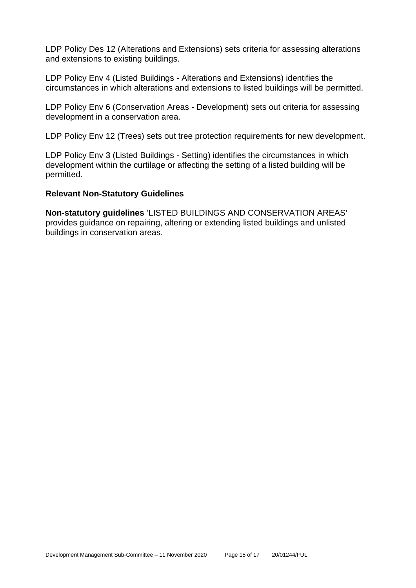LDP Policy Des 12 (Alterations and Extensions) sets criteria for assessing alterations and extensions to existing buildings.

LDP Policy Env 4 (Listed Buildings - Alterations and Extensions) identifies the circumstances in which alterations and extensions to listed buildings will be permitted.

LDP Policy Env 6 (Conservation Areas - Development) sets out criteria for assessing development in a conservation area.

LDP Policy Env 12 (Trees) sets out tree protection requirements for new development.

LDP Policy Env 3 (Listed Buildings - Setting) identifies the circumstances in which development within the curtilage or affecting the setting of a listed building will be permitted.

#### **Relevant Non-Statutory Guidelines**

**Non-statutory guidelines** 'LISTED BUILDINGS AND CONSERVATION AREAS' provides guidance on repairing, altering or extending listed buildings and unlisted buildings in conservation areas.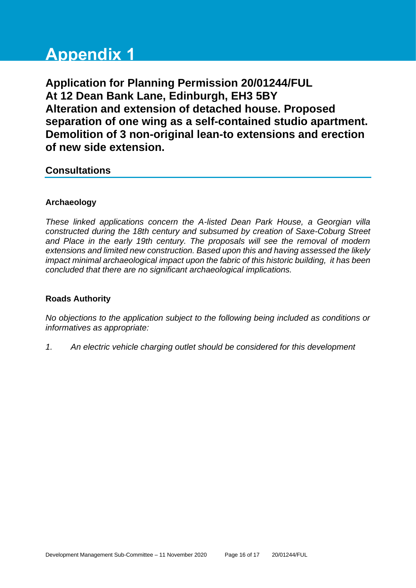# **Appendix 1**

**Application for Planning Permission 20/01244/FUL At 12 Dean Bank Lane, Edinburgh, EH3 5BY Alteration and extension of detached house. Proposed separation of one wing as a self-contained studio apartment. Demolition of 3 non-original lean-to extensions and erection of new side extension.**

# **Consultations**

# **Archaeology**

*These linked applications concern the A-listed Dean Park House, a Georgian villa constructed during the 18th century and subsumed by creation of Saxe-Coburg Street and Place in the early 19th century. The proposals will see the removal of modern extensions and limited new construction. Based upon this and having assessed the likely impact minimal archaeological impact upon the fabric of this historic building, it has been concluded that there are no significant archaeological implications.*

# **Roads Authority**

*No objections to the application subject to the following being included as conditions or informatives as appropriate:*

*1. An electric vehicle charging outlet should be considered for this development*